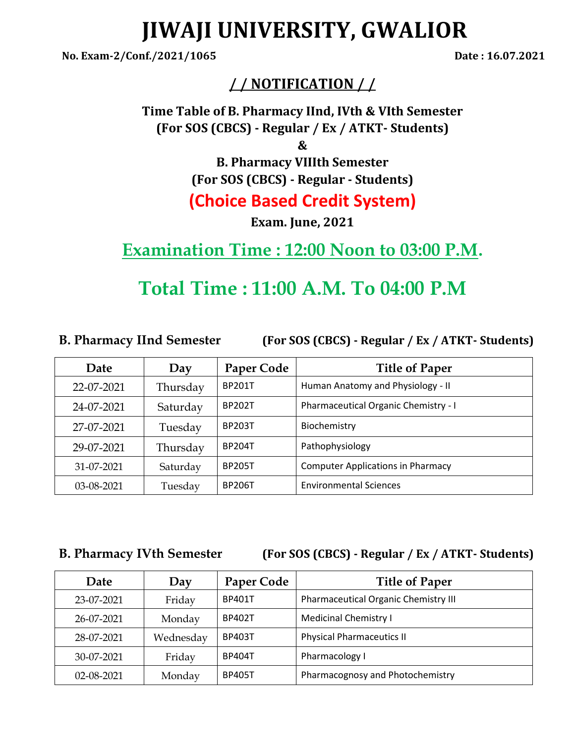# **JIWAJI UNIVERSITY, GWALIOR**

**No. Exam-2/Conf./2021/1065 Date : 16.07.2021**

## **/ / NOTIFICATION / /**

**Time Table of B. Pharmacy IInd, IVth & VIth Semester (For SOS (CBCS) - Regular / Ex / ATKT- Students)**

**&**

**B. Pharmacy VIIIth Semester (For SOS (CBCS) - Regular - Students) (Choice Based Credit System)**

**Exam. June, 2021**

## **Examination Time : 12:00 Noon to 03:00 P.M.**

# **Total Time : 11:00 A.M. To 04:00 P.M**

**B. Pharmacy IInd Semester (For SOS (CBCS) - Regular / Ex / ATKT- Students)**

| Date       | Day      | Paper Code    | <b>Title of Paper</b>                    |
|------------|----------|---------------|------------------------------------------|
| 22-07-2021 | Thursday | <b>BP201T</b> | Human Anatomy and Physiology - II        |
| 24-07-2021 | Saturday | <b>BP202T</b> | Pharmaceutical Organic Chemistry - I     |
| 27-07-2021 | Tuesday  | <b>BP203T</b> | Biochemistry                             |
| 29-07-2021 | Thursday | <b>BP204T</b> | Pathophysiology                          |
| 31-07-2021 | Saturday | <b>BP205T</b> | <b>Computer Applications in Pharmacy</b> |
| 03-08-2021 | Tuesday  | <b>BP206T</b> | <b>Environmental Sciences</b>            |

**B. Pharmacy IVth Semester (For SOS (CBCS) - Regular / Ex / ATKT- Students)**

| Date       | Day       | Paper Code    | <b>Title of Paper</b>                |
|------------|-----------|---------------|--------------------------------------|
| 23-07-2021 | Friday    | <b>BP401T</b> | Pharmaceutical Organic Chemistry III |
| 26-07-2021 | Monday    | <b>BP402T</b> | <b>Medicinal Chemistry I</b>         |
| 28-07-2021 | Wednesday | <b>BP403T</b> | <b>Physical Pharmaceutics II</b>     |
| 30-07-2021 | Friday    | <b>BP404T</b> | Pharmacology I                       |
| 02-08-2021 | Monday    | <b>BP405T</b> | Pharmacognosy and Photochemistry     |